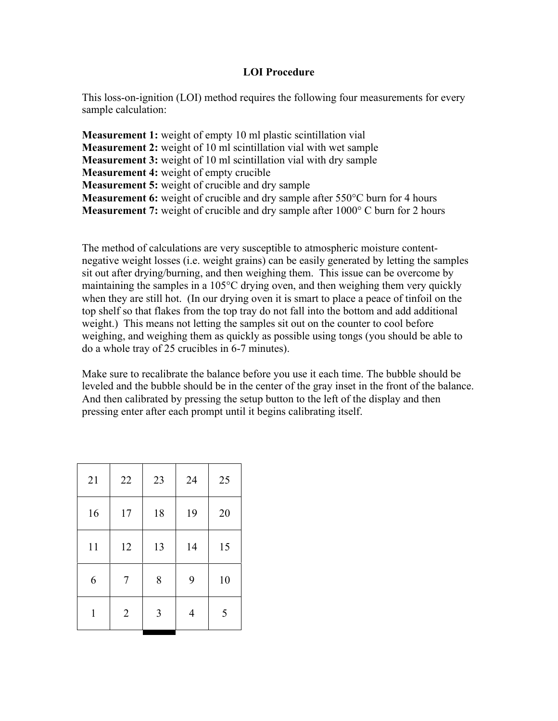## **LOI Procedure**

This loss-on-ignition (LOI) method requires the following four measurements for every sample calculation:

**Measurement 1:** weight of empty 10 ml plastic scintillation vial **Measurement 2:** weight of 10 ml scintillation vial with wet sample **Measurement 3:** weight of 10 ml scintillation vial with dry sample **Measurement 4:** weight of empty crucible **Measurement 5:** weight of crucible and dry sample **Measurement 6:** weight of crucible and dry sample after 550°C burn for 4 hours **Measurement 7:** weight of crucible and dry sample after 1000° C burn for 2 hours

The method of calculations are very susceptible to atmospheric moisture contentnegative weight losses (i.e. weight grains) can be easily generated by letting the samples sit out after drying/burning, and then weighing them. This issue can be overcome by maintaining the samples in a 105°C drying oven, and then weighing them very quickly when they are still hot. (In our drying oven it is smart to place a peace of tinfoil on the top shelf so that flakes from the top tray do not fall into the bottom and add additional weight.) This means not letting the samples sit out on the counter to cool before weighing, and weighing them as quickly as possible using tongs (you should be able to do a whole tray of 25 crucibles in 6-7 minutes).

Make sure to recalibrate the balance before you use it each time. The bubble should be leveled and the bubble should be in the center of the gray inset in the front of the balance. And then calibrated by pressing the setup button to the left of the display and then pressing enter after each prompt until it begins calibrating itself.

| 21 | 22             | 23 | 24 | 25 |
|----|----------------|----|----|----|
| 16 | 17             | 18 | 19 | 20 |
| 11 | 12             | 13 | 14 | 15 |
| 6  | $\overline{7}$ | 8  | 9  | 10 |
| 1  | $\overline{2}$ | 3  | 4  | 5  |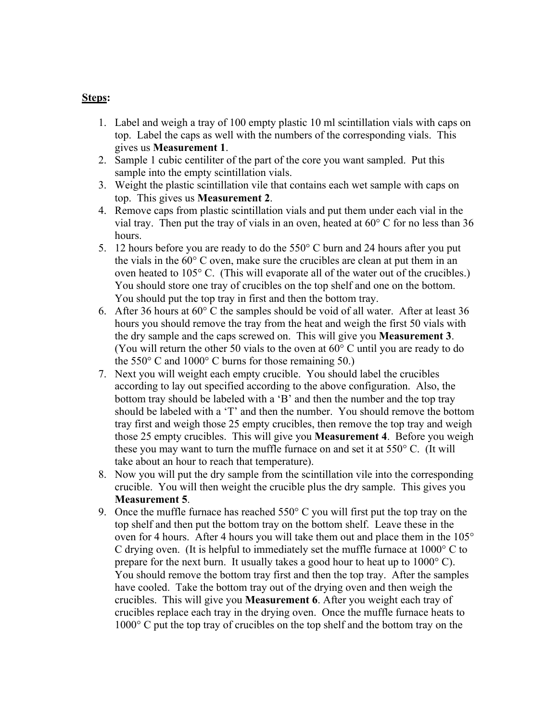## **Steps:**

- 1. Label and weigh a tray of 100 empty plastic 10 ml scintillation vials with caps on top. Label the caps as well with the numbers of the corresponding vials. This gives us **Measurement 1**.
- 2. Sample 1 cubic centiliter of the part of the core you want sampled. Put this sample into the empty scintillation vials.
- 3. Weight the plastic scintillation vile that contains each wet sample with caps on top. This gives us **Measurement 2**.
- 4. Remove caps from plastic scintillation vials and put them under each vial in the vial tray. Then put the tray of vials in an oven, heated at 60° C for no less than 36 hours.
- 5. 12 hours before you are ready to do the 550° C burn and 24 hours after you put the vials in the 60° C oven, make sure the crucibles are clean at put them in an oven heated to 105° C. (This will evaporate all of the water out of the crucibles.) You should store one tray of crucibles on the top shelf and one on the bottom. You should put the top tray in first and then the bottom tray.
- 6. After 36 hours at 60° C the samples should be void of all water. After at least 36 hours you should remove the tray from the heat and weigh the first 50 vials with the dry sample and the caps screwed on. This will give you **Measurement 3**. (You will return the other 50 vials to the oven at  $60^{\circ}$  C until you are ready to do the  $550^{\circ}$  C and  $1000^{\circ}$  C burns for those remaining 50.)
- 7. Next you will weight each empty crucible. You should label the crucibles according to lay out specified according to the above configuration. Also, the bottom tray should be labeled with a 'B' and then the number and the top tray should be labeled with a 'T' and then the number. You should remove the bottom tray first and weigh those 25 empty crucibles, then remove the top tray and weigh those 25 empty crucibles. This will give you **Measurement 4**. Before you weigh these you may want to turn the muffle furnace on and set it at 550° C. (It will take about an hour to reach that temperature).
- 8. Now you will put the dry sample from the scintillation vile into the corresponding crucible. You will then weight the crucible plus the dry sample. This gives you **Measurement 5**.
- 9. Once the muffle furnace has reached  $550^{\circ}$  C you will first put the top tray on the top shelf and then put the bottom tray on the bottom shelf. Leave these in the oven for 4 hours. After 4 hours you will take them out and place them in the 105° C drying oven. (It is helpful to immediately set the muffle furnace at  $1000^{\circ}$  C to prepare for the next burn. It usually takes a good hour to heat up to 1000° C). You should remove the bottom tray first and then the top tray. After the samples have cooled. Take the bottom tray out of the drying oven and then weigh the crucibles. This will give you **Measurement 6**. After you weight each tray of crucibles replace each tray in the drying oven. Once the muffle furnace heats to 1000° C put the top tray of crucibles on the top shelf and the bottom tray on the